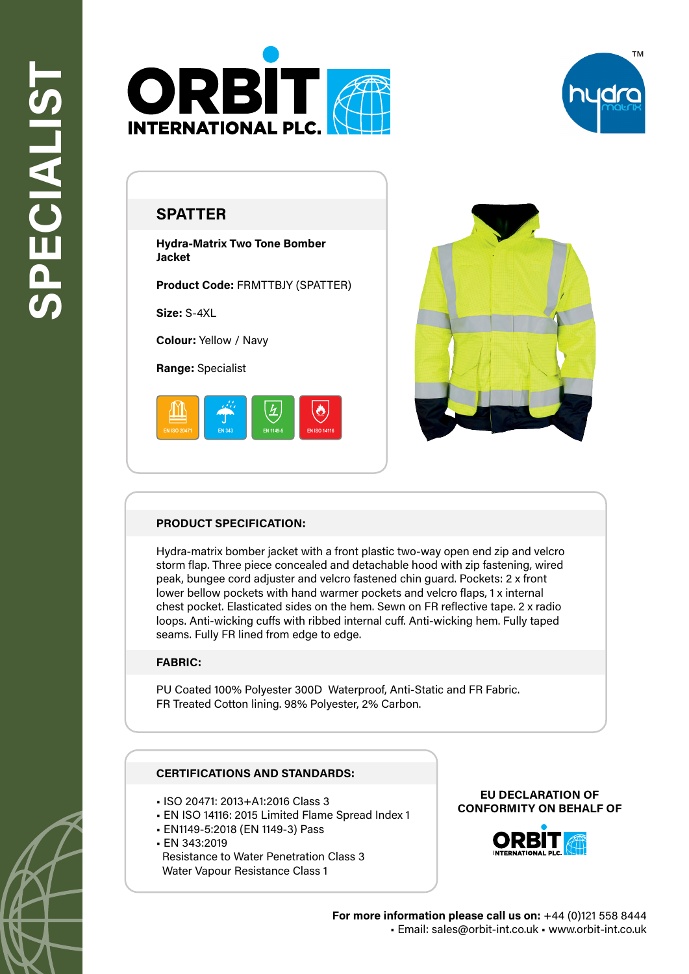



# **SPATTER**

**Hydra-Matrix Two Tone Bomber Jacket**

**Product Code:** FRMTTBJY (SPATTER)

**Size:** S-4XL

**Colour:** Yellow / Navy

**Range:** Specialist





## **PRODUCT SPECIFICATION:**

Hydra-matrix bomber jacket with a front plastic two-way open end zip and velcro storm flap. Three piece concealed and detachable hood with zip fastening, wired peak, bungee cord adjuster and velcro fastened chin guard. Pockets: 2 x front lower bellow pockets with hand warmer pockets and velcro flaps, 1 x internal chest pocket. Elasticated sides on the hem. Sewn on FR reflective tape. 2 x radio loops. Anti-wicking cuffs with ribbed internal cuff. Anti-wicking hem. Fully taped seams. Fully FR lined from edge to edge.

### **FABRIC:**

PU Coated 100% Polyester 300D Waterproof, Anti-Static and FR Fabric. FR Treated Cotton lining. 98% Polyester, 2% Carbon.

### **CERTIFICATIONS AND STANDARDS:**

- ISO 20471: 2013+A1:2016 Class 3
- EN ISO 14116: 2015 Limited Flame Spread Index 1
- EN1149-5:2018 (EN 1149-3) Pass
- EN 343:2019

 Resistance to Water Penetration Class 3 Water Vapour Resistance Class 1

#### **EU DECLARATION OF CONFORMITY ON BEHALF OF**



**For more information please call us on:** +44 (0)121 558 8444 • Email: sales@orbit-int.co.uk • www.orbit-int.co.uk